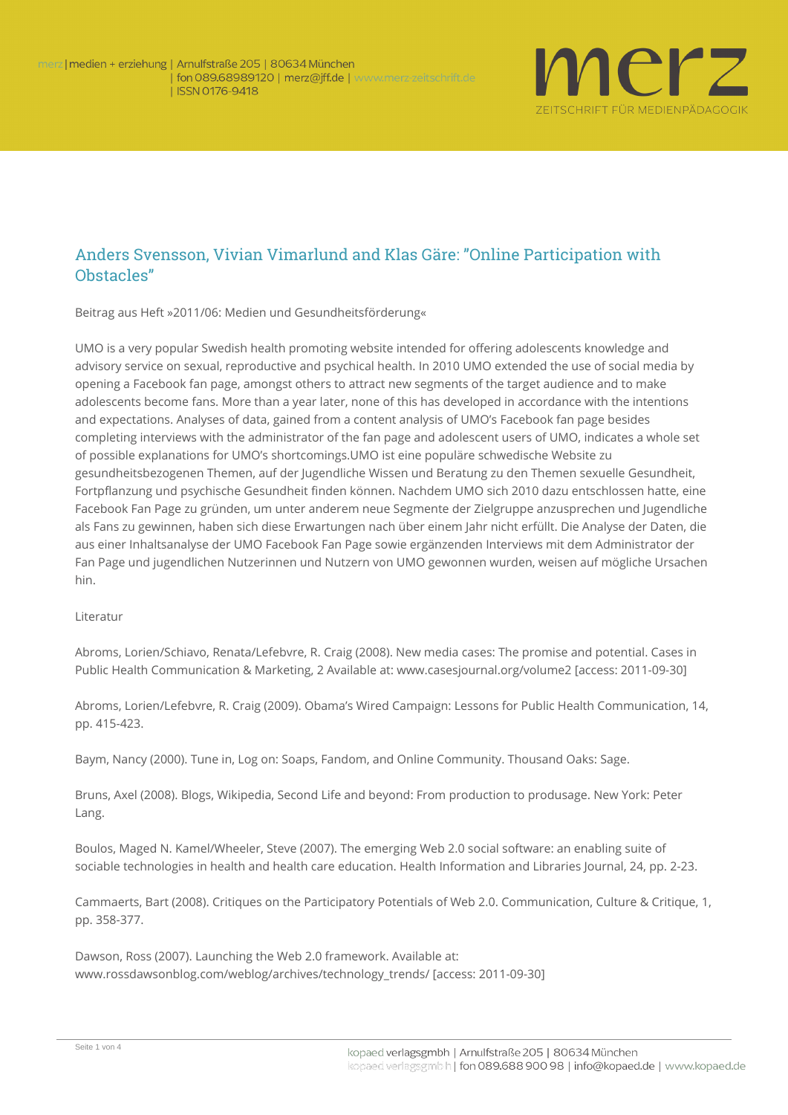

## Anders Svensson, Vivian Vimarlund and Klas Gäre: "Online Participation with Obstacles"

**Beitrag aus Heft »2011/06: Medien und Gesundheitsförderung«**

UMO is a very popular Swedish health promoting website intended for offering adolescents knowledge and advisory service on sexual, reproductive and psychical health. In 2010 UMO extended the use of social media by opening a Facebook fan page, amongst others to attract new segments of the target audience and to make adolescents become fans. More than a year later, none of this has developed in accordance with the intentions and expectations. Analyses of data, gained from a content analysis of UMO's Facebook fan page besides completing interviews with the administrator of the fan page and adolescent users of UMO, indicates a whole set of possible explanations for UMO's shortcomings.UMO ist eine populäre schwedische Website zu gesundheitsbezogenen Themen, auf der Jugendliche Wissen und Beratung zu den Themen sexuelle Gesundheit, Fortpflanzung und psychische Gesundheit finden können. Nachdem UMO sich 2010 dazu entschlossen hatte, eine Facebook Fan Page zu gründen, um unter anderem neue Segmente der Zielgruppe anzusprechen und Jugendliche als Fans zu gewinnen, haben sich diese Erwartungen nach über einem Jahr nicht erfüllt. Die Analyse der Daten, die aus einer Inhaltsanalyse der UMO Facebook Fan Page sowie ergänzenden Interviews mit dem Administrator der Fan Page und jugendlichen Nutzerinnen und Nutzern von UMO gewonnen wurden, weisen auf mögliche Ursachen hin.

## **Literatur**

Abroms, Lorien/Schiavo, Renata/Lefebvre, R. Craig (2008). New media cases: The promise and potential. Cases in Public Health Communication & Marketing, 2 Available at: www.casesjournal.org/volume2 [access: 2011-09-30]

Abroms, Lorien/Lefebvre, R. Craig (2009). Obama's Wired Campaign: Lessons for Public Health Communication, 14, pp. 415-423.

Baym, Nancy (2000). Tune in, Log on: Soaps, Fandom, and Online Community. Thousand Oaks: Sage.

Bruns, Axel (2008). Blogs, Wikipedia, Second Life and beyond: From production to produsage. New York: Peter Lang.

Boulos, Maged N. Kamel/Wheeler, Steve (2007). The emerging Web 2.0 social software: an enabling suite of sociable technologies in health and health care education. Health Information and Libraries Journal, 24, pp. 2-23.

Cammaerts, Bart (2008). Critiques on the Participatory Potentials of Web 2.0. Communication, Culture & Critique, 1, pp. 358-377.

Dawson, Ross (2007). Launching the Web 2.0 framework. Available at: www.rossdawsonblog.com/weblog/archives/technology\_trends/ [access: 2011-09-30]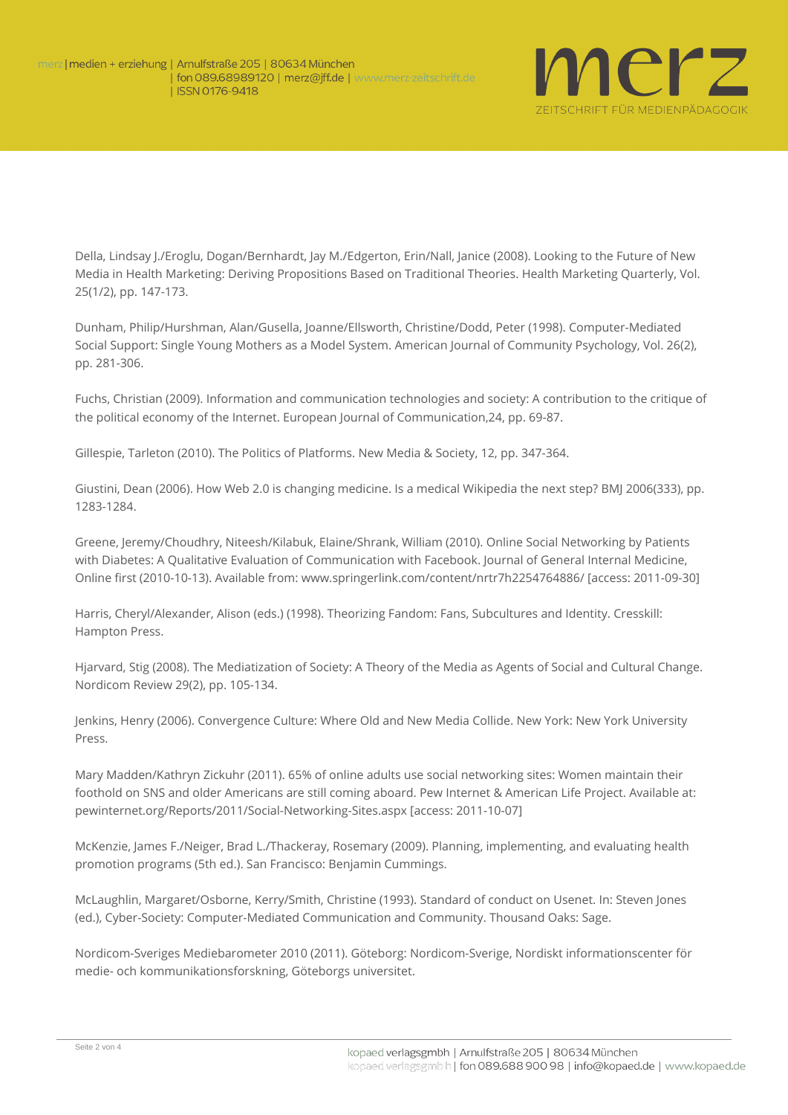

Della, Lindsay J./Eroglu, Dogan/Bernhardt, Jay M./Edgerton, Erin/Nall, Janice (2008). Looking to the Future of New Media in Health Marketing: Deriving Propositions Based on Traditional Theories. Health Marketing Quarterly, Vol. 25(1/2), pp. 147-173.

Dunham, Philip/Hurshman, Alan/Gusella, Joanne/Ellsworth, Christine/Dodd, Peter (1998). Computer-Mediated Social Support: Single Young Mothers as a Model System. American Journal of Community Psychology, Vol. 26(2), pp. 281-306.

Fuchs, Christian (2009). Information and communication technologies and society: A contribution to the critique of the political economy of the Internet. European Journal of Communication,24, pp. 69-87.

Gillespie, Tarleton (2010). The Politics of Platforms. New Media & Society, 12, pp. 347-364.

Giustini, Dean (2006). How Web 2.0 is changing medicine. Is a medical Wikipedia the next step? BMJ 2006(333), pp. 1283-1284.

Greene, Jeremy/Choudhry, Niteesh/Kilabuk, Elaine/Shrank, William (2010). Online Social Networking by Patients with Diabetes: A Qualitative Evaluation of Communication with Facebook. Journal of General Internal Medicine, Online first (2010-10-13). Available from: www.springerlink.com/content/nrtr7h2254764886/ [access: 2011-09-30]

Harris, Cheryl/Alexander, Alison (eds.) (1998). Theorizing Fandom: Fans, Subcultures and Identity. Cresskill: Hampton Press.

Hjarvard, Stig (2008). The Mediatization of Society: A Theory of the Media as Agents of Social and Cultural Change. Nordicom Review 29(2), pp. 105-134.

Jenkins, Henry (2006). Convergence Culture: Where Old and New Media Collide. New York: New York University Press.

Mary Madden/Kathryn Zickuhr (2011). 65% of online adults use social networking sites: Women maintain their foothold on SNS and older Americans are still coming aboard. Pew Internet & American Life Project. Available at: [pewinternet.org/Reports/2011/Social-Networking-Sites.aspx](http://pewinternet.org/Reports/2011/Social-Networking-Sites.aspx) [access: 2011-10-07]

McKenzie, James F./Neiger, Brad L./Thackeray, Rosemary (2009). Planning, implementing, and evaluating health promotion programs (5th ed.). San Francisco: Benjamin Cummings.

McLaughlin, Margaret/Osborne, Kerry/Smith, Christine (1993). Standard of conduct on Usenet. In: Steven Jones (ed.), Cyber-Society: Computer-Mediated Communication and Community. Thousand Oaks: Sage.

Nordicom-Sveriges Mediebarometer 2010 (2011). Göteborg: Nordicom-Sverige, Nordiskt informationscenter för medie- och kommunikationsforskning, Göteborgs universitet.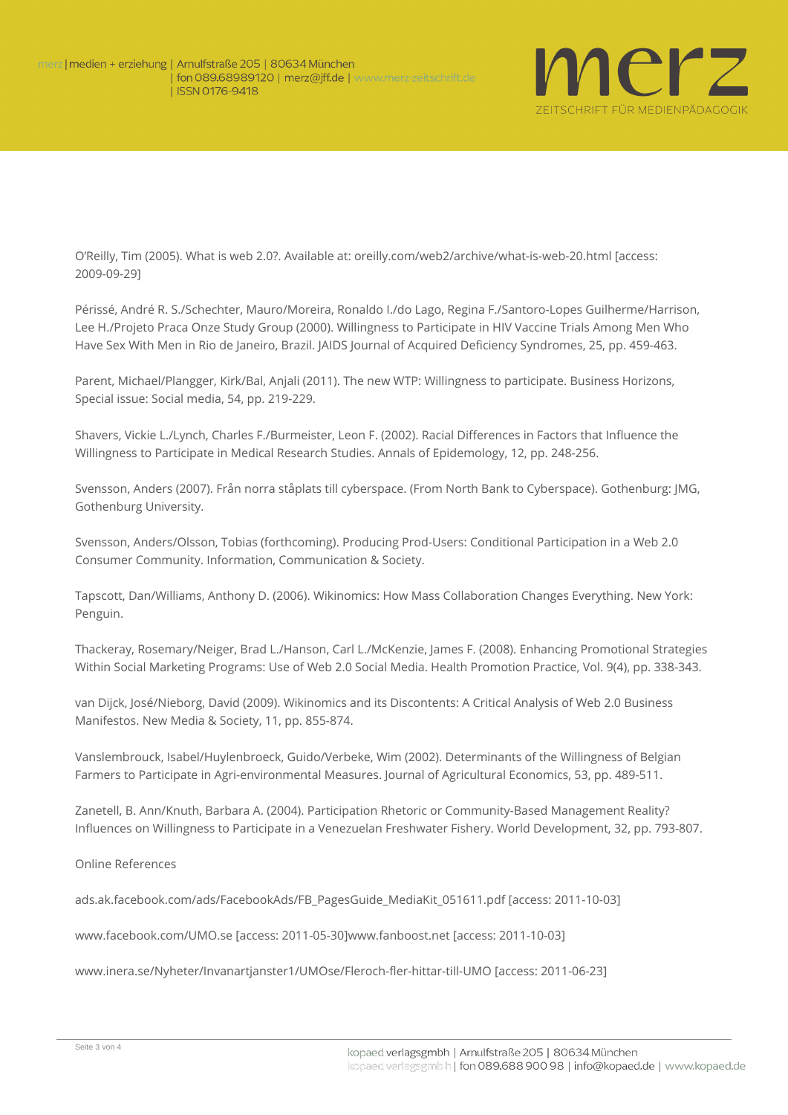

O'Reilly, Tim (2005). What is web 2.0?. Available at: [oreilly.com/web2/archive/what-is-web-20.html](http://oreilly.com/web2/archive/what-is-web-20.html) [access: 2009-09-29]

Périssé, André R. S./Schechter, Mauro/Moreira, Ronaldo I./do Lago, Regina F./Santoro-Lopes Guilherme/Harrison, Lee H./Projeto Praca Onze Study Group (2000). Willingness to Participate in HIV Vaccine Trials Among Men Who Have Sex With Men in Rio de Janeiro, Brazil. JAIDS Journal of Acquired Deficiency Syndromes, 25, pp. 459-463.

Parent, Michael/Plangger, Kirk/Bal, Anjali (2011). The new WTP: Willingness to participate. Business Horizons, Special issue: Social media, 54, pp. 219-229.

Shavers, Vickie L./Lynch, Charles F./Burmeister, Leon F. (2002). Racial Differences in Factors that Influence the Willingness to Participate in Medical Research Studies. Annals of Epidemology, 12, pp. 248-256.

Svensson, Anders (2007). Från norra ståplats till cyberspace. (From North Bank to Cyberspace). Gothenburg: JMG, Gothenburg University.

Svensson, Anders/Olsson, Tobias (forthcoming). Producing Prod-Users: Conditional Participation in a Web 2.0 Consumer Community. Information, Communication & Society.

Tapscott, Dan/Williams, Anthony D. (2006). Wikinomics: How Mass Collaboration Changes Everything. New York: Penguin.

Thackeray, Rosemary/Neiger, Brad L./Hanson, Carl L./McKenzie, James F. (2008). Enhancing Promotional Strategies Within Social Marketing Programs: Use of Web 2.0 Social Media. Health Promotion Practice, Vol. 9(4), pp. 338-343.

van Dijck, José/Nieborg, David (2009). Wikinomics and its Discontents: A Critical Analysis of Web 2.0 Business Manifestos. New Media & Society, 11, pp. 855-874.

Vanslembrouck, Isabel/Huylenbroeck, Guido/Verbeke, Wim (2002). Determinants of the Willingness of Belgian Farmers to Participate in Agri-environmental Measures. Journal of Agricultural Economics, 53, pp. 489-511.

Zanetell, B. Ann/Knuth, Barbara A. (2004). Participation Rhetoric or Community-Based Management Reality? Influences on Willingness to Participate in a Venezuelan Freshwater Fishery. World Development, 32, pp. 793-807.

**Online References** 

ads.ak.facebook.com/ads/FacebookAds/FB\_PagesGuide\_MediaKit\_051611.pdf [access: 2011-10-03]

www.facebook.com/UMO.se [access: 2011-05-30]www.fanboost.net [access: 2011-10-03]

www.inera.se/Nyheter/Invanartjanster1/UMOse/Fleroch-fler-hittar-till-UMO [access: 2011-06-23]